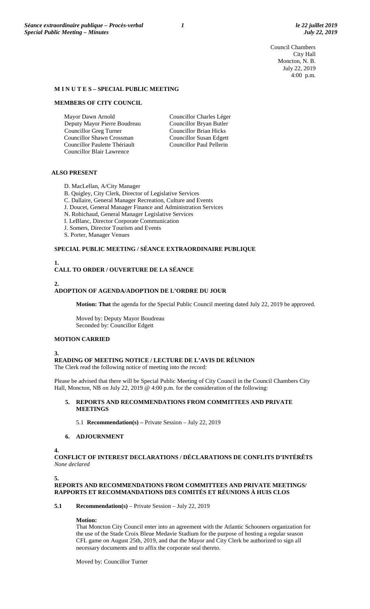Council Chambers City Hall Moncton, N. B. July 22, 2019 4:00 p.m.

#### **M I N U T E S – SPECIAL PUBLIC MEETING**

#### **MEMBERS OF CITY COUNCIL**

Mayor Dawn Arnold Deputy Mayor Pierre Boudreau Councillor Greg Turner Councillor Shawn Crossman Councillor Paulette Thériault Councillor Blair Lawrence

Councillor Charles Léger Councillor Bryan Butler Councillor Brian Hicks Councillor Susan Edgett Councillor Paul Pellerin

## **ALSO PRESENT**

- D. MacLellan, A/City Manager
- B. Quigley, City Clerk, Director of Legislative Services
- C. Dallaire, General Manager Recreation, Culture and Events
- J. Doucet, General Manager Finance and Administration Services
- N. Robichaud, General Manager Legislative Services
- I. LeBlanc, Director Corporate Communication
- J. Somers, Director Tourism and Events
- S. Porter, Manager Venues

## **SPECIAL PUBLIC MEETING / SÉANCE EXTRAORDINAIRE PUBLIQUE**

# **1. CALL TO ORDER / OUVERTURE DE LA SÉANCE**

## **2.**

## **ADOPTION OF AGENDA/ADOPTION DE L'ORDRE DU JOUR**

**Motion: That** the agenda for the Special Public Council meeting dated July 22, 2019 be approved.

Moved by: Deputy Mayor Boudreau Seconded by: Councillor Edgett

### **MOTION CARRIED**

**3.**

#### **READING OF MEETING NOTICE / LECTURE DE L'AVIS DE RÉUNION**

The Clerk read the following notice of meeting into the record:

Please be advised that there will be Special Public Meeting of City Council in the Council Chambers City Hall, Moncton, NB on July 22, 2019 @ 4:00 p.m. for the consideration of the following:

#### **5. REPORTS AND RECOMMENDATIONS FROM COMMITTEES AND PRIVATE MEETINGS**

5.1 **Recommendation(s) –** Private Session – July 22, 2019

## **6. ADJOURNMENT**

**4.**

**CONFLICT OF INTEREST DECLARATIONS / DÉCLARATIONS DE CONFLITS D'INTÉRÊTS** *None declared*

#### **5.**

## **REPORTS AND RECOMMENDATIONS FROM COMMITTEES AND PRIVATE MEETINGS/ RAPPORTS ET RECOMMANDATIONS DES COMITÉS ET RÉUNIONS À HUIS CLOS**

## **5.1 Recommendation(s)** – Private Session – July 22, 2019

#### **Motion:**

That Moncton City Council enter into an agreement with the Atlantic Schooners organization for the use of the Stade Croix Bleue Medavie Stadium for the purpose of hosting a regular season CFL game on August 25th, 2019, and that the Mayor and City Clerk be authorized to sign all necessary documents and to affix the corporate seal thereto.

Moved by: Councillor Turner